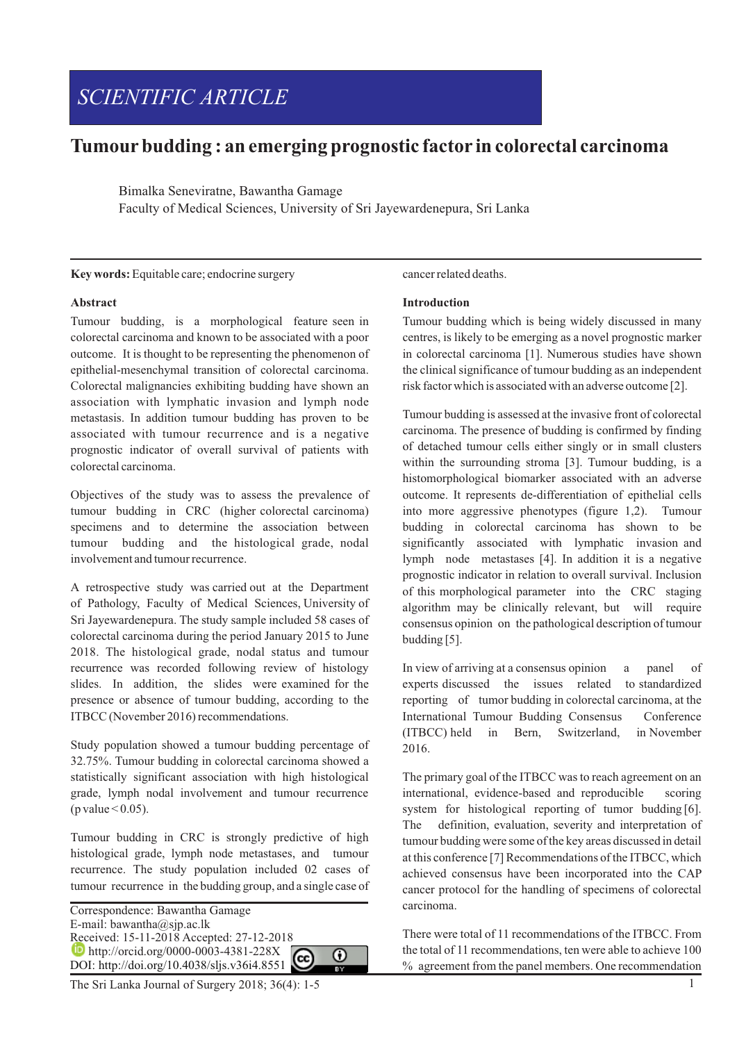# *SCIENTIFIC ARTICLE*

# **Tumourbudding : an emerging prognostic factor in colorectal carcinoma**

Bimalka Seneviratne, Bawantha Gamage Faculty of Medical Sciences, University of Sri Jayewardenepura, Sri Lanka

#### **Key words:**Equitable care; endocrine surgery

# **Abstract**

Tumour budding, is a morphological feature seen in colorectal carcinoma and known to be associated with a poor outcome. It is thought to be representing the phenomenon of epithelial-mesenchymal transition of colorectal carcinoma. Colorectal malignancies exhibiting budding have shown an association with lymphatic invasion and lymph node metastasis. In addition tumour budding has proven to be associated with tumour recurrence and is a negative prognostic indicator of overall survival of patients with colorectal carcinoma.

Objectives of the study was to assess the prevalence of tumour budding in CRC (higher colorectal carcinoma) specimens and to determine the association between tumour budding and the histological grade, nodal involvement and tumour recurrence.

A retrospective study was carried out at the Department of Pathology, Faculty of Medical Sciences, University of Sri Jayewardenepura. The study sample included 58 cases of colorectal carcinoma during the period January 2015 to June 2018. The histological grade, nodal status and tumour recurrence was recorded following review of histology slides. In addition, the slides were examined for the presence or absence of tumour budding, according to the ITBCC (November 2016) recommendations.

Study population showed a tumour budding percentage of 32.75%. Tumour budding in colorectal carcinoma showed a statistically significant association with high histological grade, lymph nodal involvement and tumour recurrence (p value  $\leq$  0.05).

Tumour budding in CRC is strongly predictive of high histological grade, lymph node metastases, and tumour recurrence. The study population included 02 cases of tumour recurrence in the budding group, and a single case of

Correspondence: Bawantha Gamage E-mail: bawantha@sjp.ac.lk Received: 15-11-2018 Accepted: 27-12-2018 **http://orcid.org/0000-0003-4381-228X D** http://orcid.org/0000-0003-4381-228X<br>DOI: http://doi.org/10.4038/sljs.v36i4.8551 ⋒

# The Sri Lanka Journal of Surgery 2018; 36(4): 1-5

#### cancer related deaths.

### **Introduction**

Tumour budding which is being widely discussed in many centres, is likely to be emerging as a novel prognostic marker in colorectal carcinoma [1]. Numerous studies have shown the clinical significance of tumour budding as an independent risk factor which is associated with an adverse outcome [2].

Tumour budding is assessed at the invasive front of colorectal carcinoma. The presence of budding is confirmed by finding of detached tumour cells either singly or in small clusters within the surrounding stroma [3]. Tumour budding, is a histomorphological biomarker associated with an adverse outcome. It represents de-differentiation of epithelial cells into more aggressive phenotypes (figure 1,2). Tumour budding in colorectal carcinoma has shown to be significantly associated with lymphatic invasion and lymph node metastases [4]. In addition it is a negative prognostic indicator in relation to overall survival. Inclusion of this morphological parameter into the CRC staging algorithm may be clinically relevant, but will require consensus opinion on the pathological description of tumour budding [5].

In view of arriving at a consensus opinion a panel of experts discussed the issues related to standardized reporting of tumor budding in colorectal carcinoma, at the International Tumour Budding Consensus Conference (ITBCC) held in Bern, Switzerland, in November 2016.

The primary goal of the ITBCC was to reach agreement on an international, evidence-based and reproducible scoring system for histological reporting of tumor budding [6]. The definition, evaluation, severity and interpretation of tumour budding were some of the key areas discussed in detail at this conference [7] Recommendations of the ITBCC, which achieved consensus have been incorporated into the CAP cancer protocol for the handling of specimens of colorectal carcinoma.

There were total of 11 recommendations of the ITBCC. From the total of 11 recommendations, ten were able to achieve 100 % agreement from the panel members. One recommendation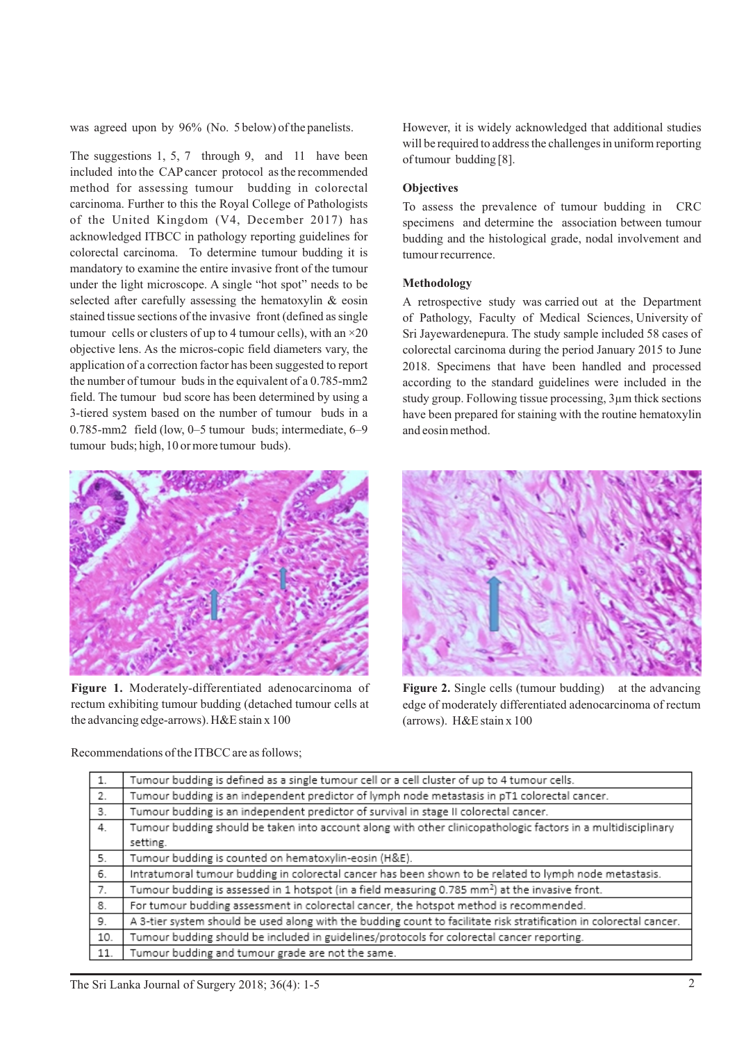was agreed upon by 96% (No. 5 below) of the panelists.

The suggestions 1, 5, 7 through 9, and 11 have been included into the CAPcancer protocol as the recommended method for assessing tumour budding in colorectal carcinoma. Further to this the Royal College of Pathologists of the United Kingdom (V4, December 2017) has acknowledged ITBCC in pathology reporting guidelines for colorectal carcinoma. To determine tumour budding it is mandatory to examine the entire invasive front of the tumour under the light microscope. A single "hot spot" needs to be selected after carefully assessing the hematoxylin & eosin stained tissue sections of the invasive front (defined as single tumour cells or clusters of up to 4 tumour cells), with an  $\times$ 20 objective lens. As the micros-copic field diameters vary, the application of a correction factor has been suggested to report the number of tumour buds in the equivalent of a 0.785-mm2 field. The tumour bud score has been determined by using a 3-tiered system based on the number of tumour buds in a 0.785-mm2 field (low, 0–5 tumour buds; intermediate, 6–9 tumour buds; high, 10 or more tumour buds).



**Figure 1.** Moderately-differentiated adenocarcinoma of rectum exhibiting tumour budding (detached tumour cells at the advancing edge-arrows). H&E stain x 100

However, it is widely acknowledged that additional studies will be required to address the challenges in uniform reporting of tumour budding [8].

# **Objectives**

To assess the prevalence of tumour budding in CRC specimens and determine the association between tumour budding and the histological grade, nodal involvement and tumour recurrence.

### **Methodology**

A retrospective study was carried out at the Department of Pathology, Faculty of Medical Sciences, University of Sri Jayewardenepura. The study sample included 58 cases of colorectal carcinoma during the period January 2015 to June 2018. Specimens that have been handled and processed according to the standard guidelines were included in the study group. Following tissue processing, 3µm thick sections have been prepared for staining with the routine hematoxylin and eosin method.



**Figure 2.** Single cells (tumour budding) at the advancing edge of moderately differentiated adenocarcinoma of rectum (arrows). H&E stain x 100

| 1.  | Tumour budding is defined as a single tumour cell or a cell cluster of up to 4 tumour cells.                        |
|-----|---------------------------------------------------------------------------------------------------------------------|
| 2.  | Tumour budding is an independent predictor of lymph node metastasis in pT1 colorectal cancer.                       |
| 3.  | Tumour budding is an independent predictor of survival in stage II colorectal cancer.                               |
| 4.  | Tumour budding should be taken into account along with other clinicopathologic factors in a multidisciplinary       |
|     | setting.                                                                                                            |
| 5.  | Tumour budding is counted on hematoxylin-eosin (H&E).                                                               |
| 6.  | Intratumoral tumour budding in colorectal cancer has been shown to be related to lymph node metastasis.             |
| 7.  | Tumour budding is assessed in 1 hotspot (in a field measuring 0.785 mm <sup>2</sup> ) at the invasive front.        |
| -8. | For tumour budding assessment in colorectal cancer, the hotspot method is recommended.                              |
| 9.  | A 3-tier system should be used along with the budding count to facilitate risk stratification in colorectal cancer. |
| 10. | Tumour budding should be included in guidelines/protocols for colorectal cancer reporting.                          |
| 11. | Tumour budding and tumour grade are not the same.                                                                   |
|     |                                                                                                                     |

Recommendations of the ITBCC are as follows;

The Sri Lanka Journal of Surgery 2018; 36(4): 1-5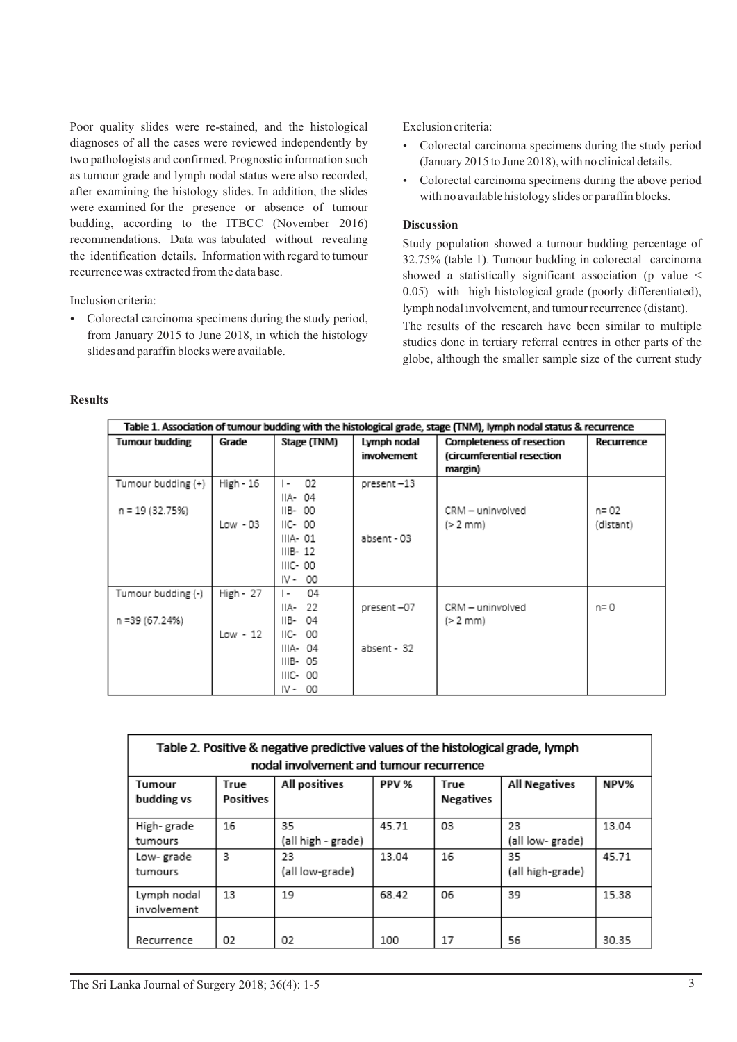Poor quality slides were re-stained, and the histological diagnoses of all the cases were reviewed independently by two pathologists and confirmed. Prognostic information such as tumour grade and lymph nodal status were also recorded, after examining the histology slides. In addition, the slides were examined for the presence or absence of tumour budding, according to the ITBCC (November 2016) recommendations. Data was tabulated without revealing the identification details. Information with regard to tumour recurrence was extracted from the data base.

Inclusion criteria:

• Colorectal carcinoma specimens during the study period, from January 2015 to June 2018, in which the histology slides and paraffin blocks were available.

Exclusion criteria:

- Colorectal carcinoma specimens during the study period (January 2015 to June 2018), with no clinical details.
- Colorectal carcinoma specimens during the above period with no available histology slides or paraffin blocks.

# **Discussion**

Study population showed a tumour budding percentage of 32.75% (table 1). Tumour budding in colorectal carcinoma showed a statistically significant association (p value < 0.05) with high histological grade (poorly differentiated), lymph nodal involvement, and tumour recurrence (distant).

The results of the research have been similar to multiple studies done in tertiary referral centres in other parts of the globe, although the smaller sample size of the current study

### **Results**

| Table 1. Association of tumour budding with the histological grade, stage (TNM), lymph nodal status & recurrence |           |                                |             |                                  |            |  |  |  |  |
|------------------------------------------------------------------------------------------------------------------|-----------|--------------------------------|-------------|----------------------------------|------------|--|--|--|--|
| <b>Tumour budding</b>                                                                                            | Grade     | Stage (TNM)                    | Lymph nodal | <b>Completeness of resection</b> | Recurrence |  |  |  |  |
|                                                                                                                  |           |                                | involvement | (circumferential resection       |            |  |  |  |  |
|                                                                                                                  |           |                                |             | margin)                          |            |  |  |  |  |
| Tumour budding (+)                                                                                               | High - 16 | 02<br>$\mathsf{I}$ -           | present-13  |                                  |            |  |  |  |  |
|                                                                                                                  |           | IIA-04                         |             |                                  |            |  |  |  |  |
| n = 19 (32.75%)                                                                                                  |           | IIB-00                         |             | CRM - uninvolved                 | n= 02      |  |  |  |  |
|                                                                                                                  | Low - 03  | $HC-00$                        |             | (>2 mm)                          | (distant)  |  |  |  |  |
|                                                                                                                  |           | IIIA- 01                       | absent - 03 |                                  |            |  |  |  |  |
|                                                                                                                  |           | $IIB-12$                       |             |                                  |            |  |  |  |  |
|                                                                                                                  |           | IIIC- 00                       |             |                                  |            |  |  |  |  |
|                                                                                                                  |           | IV-00                          |             |                                  |            |  |  |  |  |
| Tumour budding (-)                                                                                               | High - 27 | 04<br>$\overline{\phantom{a}}$ |             |                                  |            |  |  |  |  |
|                                                                                                                  |           | IIA-22                         | present-07  | CRM - uninvolved                 | n= 0       |  |  |  |  |
| n =39 (67.24%)                                                                                                   |           | IIB- 04                        |             | (> 2 mm)                         |            |  |  |  |  |
|                                                                                                                  | Low - 12  | IIC-<br>00                     |             |                                  |            |  |  |  |  |
|                                                                                                                  |           | IIIA- 04                       | absent - 32 |                                  |            |  |  |  |  |
|                                                                                                                  |           | IIIB-05                        |             |                                  |            |  |  |  |  |
|                                                                                                                  |           | IIIC- 00                       |             |                                  |            |  |  |  |  |
|                                                                                                                  |           | IV-00                          |             |                                  |            |  |  |  |  |

| Table 2. Positive & negative predictive values of the histological grade, lymph<br>nodal involvement and tumour recurrence |                   |                          |       |                          |                        |       |  |  |  |  |  |
|----------------------------------------------------------------------------------------------------------------------------|-------------------|--------------------------|-------|--------------------------|------------------------|-------|--|--|--|--|--|
| Tumour<br>budding vs                                                                                                       | True<br>Positives | All positives            | PPV % | True<br><b>Negatives</b> | <b>All Negatives</b>   | NPV%  |  |  |  |  |  |
| High-grade<br>tumours                                                                                                      | 16                | 35<br>(all high - grade) | 45.71 | 03                       | 23<br>(all low- grade) | 13.04 |  |  |  |  |  |
| Low-grade<br>tumours                                                                                                       | 3                 | 23<br>(all low-grade)    | 13.04 | 16                       | 35<br>(all high-grade) | 45.71 |  |  |  |  |  |
| Lymph nodal<br>involvement                                                                                                 | 13                | 19                       | 68.42 | 06                       | 39                     | 15.38 |  |  |  |  |  |
| Recurrence                                                                                                                 | 02                | 02                       | 100   | 17                       | 56                     | 30.35 |  |  |  |  |  |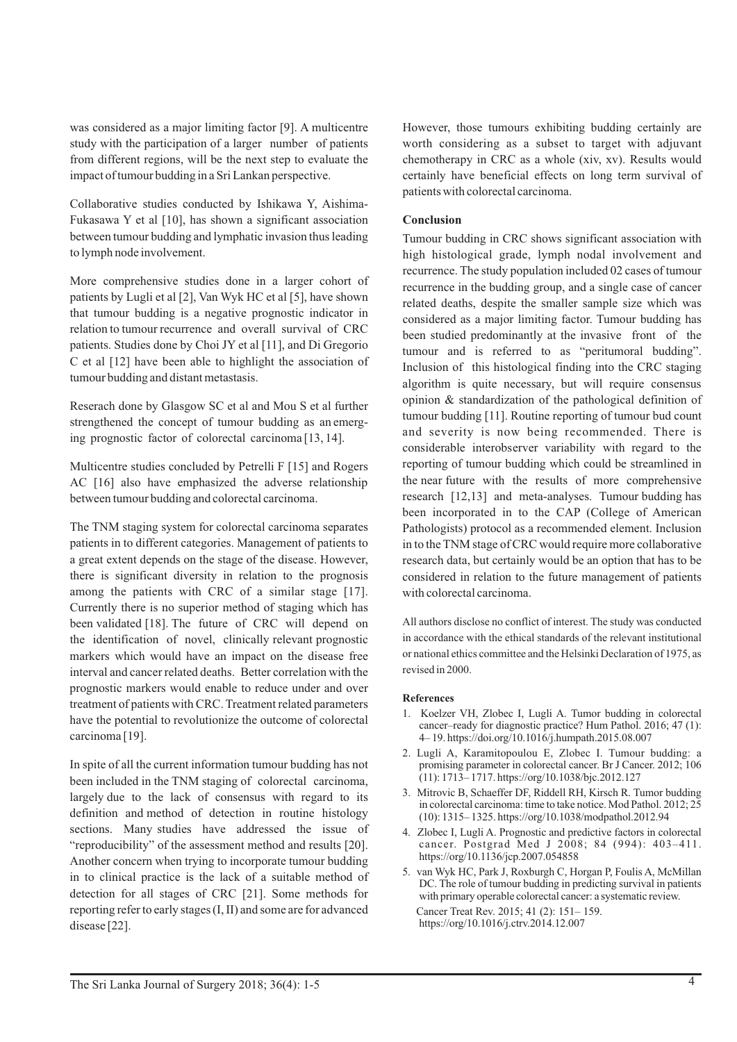was considered as a major limiting factor [9]. A multicentre study with the participation of a larger number of patients from different regions, will be the next step to evaluate the impact of tumour budding in a Sri Lankan perspective.

Collaborative studies conducted by Ishikawa Y, Aishima-Fukasawa Y et al [10], has shown a significant association between tumour budding and lymphatic invasion thus leading to lymph node involvement.

More comprehensive studies done in a larger cohort of patients by Lugli et al [2], Van Wyk HC et al [5], have shown that tumour budding is a negative prognostic indicator in relation to tumour recurrence and overall survival of CRC patients. Studies done by Choi JY et al [11], and Di Gregorio C et al [12] have been able to highlight the association of tumour budding and distant metastasis.

Reserach done by Glasgow SC et al and Mou S et al further strengthened the concept of tumour budding as an emerging prognostic factor of colorectal carcinoma [13, 14].

Multicentre studies concluded by Petrelli F [15] and Rogers AC [16] also have emphasized the adverse relationship between tumour budding and colorectal carcinoma.

The TNM staging system for colorectal carcinoma separates patients in to different categories. Management of patients to a great extent depends on the stage of the disease. However, there is significant diversity in relation to the prognosis among the patients with CRC of a similar stage [17]. Currently there is no superior method of staging which has been validated [18]. The future of CRC will depend on the identification of novel, clinically relevant prognostic markers which would have an impact on the disease free interval and cancer related deaths. Better correlation with the prognostic markers would enable to reduce under and over treatment of patients with CRC. Treatment related parameters have the potential to revolutionize the outcome of colorectal carcinoma [19].

In spite of all the current information tumour budding has not been included in the TNM staging of colorectal carcinoma, largely due to the lack of consensus with regard to its definition and method of detection in routine histology sections. Many studies have addressed the issue of "reproducibility" of the assessment method and results [20]. Another concern when trying to incorporate tumour budding in to clinical practice is the lack of a suitable method of detection for all stages of CRC [21]. Some methods for reporting refer to early stages (I, II) and some are for advanced disease [22].

However, those tumours exhibiting budding certainly are worth considering as a subset to target with adjuvant chemotherapy in CRC as a whole (xiv, xv). Results would certainly have beneficial effects on long term survival of patients with colorectal carcinoma.

# **Conclusion**

Tumour budding in CRC shows significant association with high histological grade, lymph nodal involvement and recurrence. The study population included 02 cases of tumour recurrence in the budding group, and a single case of cancer related deaths, despite the smaller sample size which was considered as a major limiting factor. Tumour budding has been studied predominantly at the invasive front of the tumour and is referred to as "peritumoral budding". Inclusion of this histological finding into the CRC staging algorithm is quite necessary, but will require consensus opinion & standardization of the pathological definition of tumour budding [11]. Routine reporting of tumour bud count and severity is now being recommended. There is considerable interobserver variability with regard to the reporting of tumour budding which could be streamlined in the near future with the results of more comprehensive research [12,13] and meta-analyses. Tumour budding has been incorporated in to the CAP (College of American Pathologists) protocol as a recommended element. Inclusion in to the TNM stage of CRC would require more collaborative research data, but certainly would be an option that has to be considered in relation to the future management of patients with colorectal carcinoma.

All authors disclose no conflict of interest. The study was conducted in accordance with the ethical standards of the relevant institutional or national ethics committee and the Helsinki Declaration of 1975, as revised in 2000.

### **References**

- 1. Koelzer VH, Zlobec I, Lugli A. Tumor budding in colorectal cancer–ready for diagnostic practice? Hum Pathol. 2016; 47 (1): 4– 19. https://doi.org/10.1016/j.humpath.2015.08.007
- 2. Lugli A, Karamitopoulou E, Zlobec I. Tumour budding: a promising parameter in colorectal cancer. Br J Cancer. 2012; 106 (11): 1713– 1717. https://org/10.1038/bjc.2012.127
- 3. Mitrovic B, Schaeffer DF, Riddell RH, Kirsch R. Tumor budding in colorectal carcinoma: time to take notice. Mod Pathol. 2012; 25 (10): 1315– 1325. https://org/10.1038/modpathol.2012.94
- 4. Zlobec I, Lugli A. Prognostic and predictive factors in colorectal cancer. Postgrad Med J 2008; 84 (994): 403–411. https://org/10.1136/jcp.2007.054858
- 5. van Wyk HC, Park J, Roxburgh C, Horgan P, Foulis A, McMillan DC. The role of tumour budding in predicting survival in patients with primary operable colorectal cancer: a systematic review. Cancer Treat Rev. 2015; 41 (2): 151– 159. https://org/10.1016/j.ctrv.2014.12.007